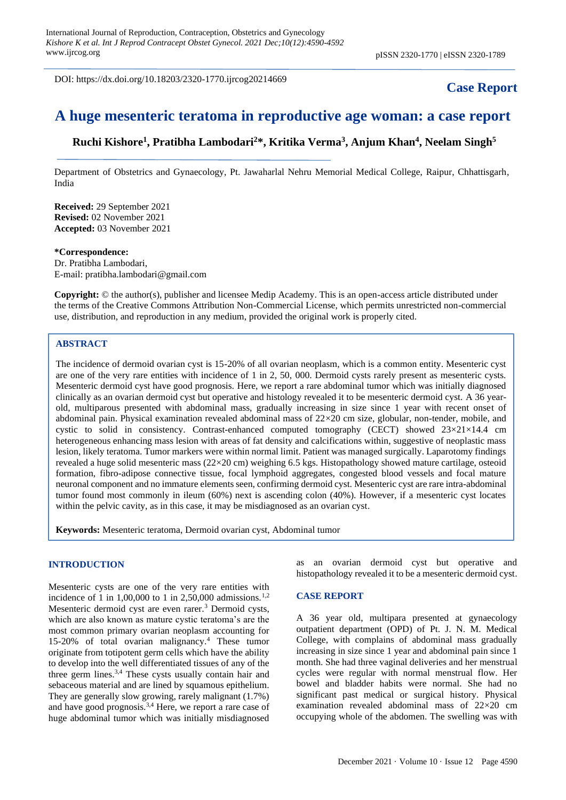DOI: https://dx.doi.org/10.18203/2320-1770.ijrcog20214669

## **Case Report**

# **A huge mesenteric teratoma in reproductive age woman: a case report**

**Ruchi Kishore<sup>1</sup> , Pratibha Lambodari<sup>2</sup>\*, Kritika Verma<sup>3</sup> , Anjum Khan<sup>4</sup> , Neelam Singh<sup>5</sup>**

Department of Obstetrics and Gynaecology, Pt. Jawaharlal Nehru Memorial Medical College, Raipur, Chhattisgarh, India

**Received:** 29 September 2021 **Revised:** 02 November 2021 **Accepted:** 03 November 2021

#### **\*Correspondence:**

Dr. Pratibha Lambodari, E-mail: pratibha.lambodari@gmail.com

**Copyright:** © the author(s), publisher and licensee Medip Academy. This is an open-access article distributed under the terms of the Creative Commons Attribution Non-Commercial License, which permits unrestricted non-commercial use, distribution, and reproduction in any medium, provided the original work is properly cited.

#### **ABSTRACT**

The incidence of dermoid ovarian cyst is 15-20% of all ovarian neoplasm, which is a common entity. Mesenteric cyst are one of the very rare entities with incidence of 1 in 2, 50, 000. Dermoid cysts rarely present as mesenteric cysts. Mesenteric dermoid cyst have good prognosis. Here, we report a rare abdominal tumor which was initially diagnosed clinically as an ovarian dermoid cyst but operative and histology revealed it to be mesenteric dermoid cyst. A 36 yearold, multiparous presented with abdominal mass, gradually increasing in size since 1 year with recent onset of abdominal pain. Physical examination revealed abdominal mass of  $22\times20$  cm size, globular, non-tender, mobile, and cystic to solid in consistency. Contrast-enhanced computed tomography (CECT) showed 23×21×14.4 cm heterogeneous enhancing mass lesion with areas of fat density and calcifications within, suggestive of neoplastic mass lesion, likely teratoma. Tumor markers were within normal limit. Patient was managed surgically. Laparotomy findings revealed a huge solid mesenteric mass (22×20 cm) weighing 6.5 kgs. Histopathology showed mature cartilage, osteoid formation, fibro-adipose connective tissue, focal lymphoid aggregates, congested blood vessels and focal mature neuronal component and no immature elements seen, confirming dermoid cyst. Mesenteric cyst are rare intra-abdominal tumor found most commonly in ileum (60%) next is ascending colon (40%). However, if a mesenteric cyst locates within the pelvic cavity, as in this case, it may be misdiagnosed as an ovarian cyst.

**Keywords:** Mesenteric teratoma, Dermoid ovarian cyst, Abdominal tumor

#### **INTRODUCTION**

Mesenteric cysts are one of the very rare entities with incidence of 1 in 1,00,000 to 1 in 2,50,000 admissions.<sup>1,2</sup> Mesenteric dermoid cyst are even rarer.<sup>3</sup> Dermoid cysts, which are also known as mature cystic teratoma's are the most common primary ovarian neoplasm accounting for 15-20% of total ovarian malignancy.<sup>4</sup> These tumor originate from totipotent germ cells which have the ability to develop into the well differentiated tissues of any of the three germ lines.3,4 These cysts usually contain hair and sebaceous material and are lined by squamous epithelium. They are generally slow growing, rarely malignant (1.7%) and have good prognosis.<sup>3,4</sup> Here, we report a rare case of huge abdominal tumor which was initially misdiagnosed as an ovarian dermoid cyst but operative and histopathology revealed it to be a mesenteric dermoid cyst.

#### **CASE REPORT**

A 36 year old, multipara presented at gynaecology outpatient department (OPD) of Pt. J. N. M. Medical College, with complains of abdominal mass gradually increasing in size since 1 year and abdominal pain since 1 month. She had three vaginal deliveries and her menstrual cycles were regular with normal menstrual flow. Her bowel and bladder habits were normal. She had no significant past medical or surgical history. Physical examination revealed abdominal mass of 22×20 cm occupying whole of the abdomen. The swelling was with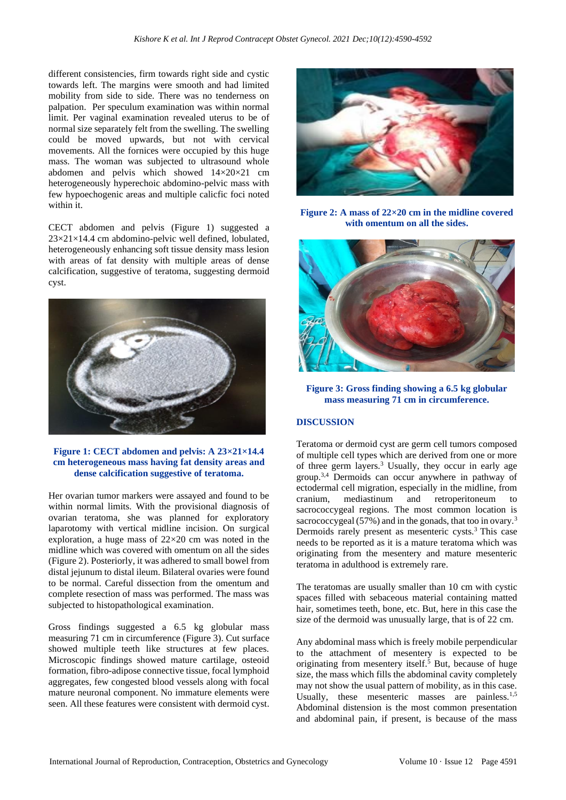different consistencies, firm towards right side and cystic towards left. The margins were smooth and had limited mobility from side to side. There was no tenderness on palpation. Per speculum examination was within normal limit. Per vaginal examination revealed uterus to be of normal size separately felt from the swelling. The swelling could be moved upwards, but not with cervical movements. All the fornices were occupied by this huge mass. The woman was subjected to ultrasound whole abdomen and pelvis which showed 14×20×21 cm heterogeneously hyperechoic abdomino-pelvic mass with few hypoechogenic areas and multiple calicfic foci noted within it.

CECT abdomen and pelvis (Figure 1) suggested a 23×21×14.4 cm abdomino-pelvic well defined, lobulated, heterogeneously enhancing soft tissue density mass lesion with areas of fat density with multiple areas of dense calcification, suggestive of teratoma, suggesting dermoid cyst.



**Figure 1: CECT abdomen and pelvis: A 23×21×14.4 cm heterogeneous mass having fat density areas and dense calcification suggestive of teratoma.**

Her ovarian tumor markers were assayed and found to be within normal limits. With the provisional diagnosis of ovarian teratoma, she was planned for exploratory laparotomy with vertical midline incision. On surgical exploration, a huge mass of  $22\times20$  cm was noted in the midline which was covered with omentum on all the sides (Figure 2). Posteriorly, it was adhered to small bowel from distal jejunum to distal ileum. Bilateral ovaries were found to be normal. Careful dissection from the omentum and complete resection of mass was performed. The mass was subjected to histopathological examination.

Gross findings suggested a 6.5 kg globular mass measuring 71 cm in circumference (Figure 3). Cut surface showed multiple teeth like structures at few places. Microscopic findings showed mature cartilage, osteoid formation, fibro-adipose connective tissue, focal lymphoid aggregates, few congested blood vessels along with focal mature neuronal component. No immature elements were seen. All these features were consistent with dermoid cyst.



**Figure 2: A mass of 22×20 cm in the midline covered with omentum on all the sides.**



**Figure 3: Gross finding showing a 6.5 kg globular mass measuring 71 cm in circumference.**

## **DISCUSSION**

Teratoma or dermoid cyst are germ cell tumors composed of multiple cell types which are derived from one or more of three germ layers.<sup>3</sup> Usually, they occur in early age group.3,4 Dermoids can occur anywhere in pathway of ectodermal cell migration, especially in the midline, from cranium, mediastinum and retroperitoneum to sacrococcygeal regions. The most common location is sacrococcygeal (57%) and in the gonads, that too in ovary.<sup>3</sup> Dermoids rarely present as mesenteric cysts. $3$  This case needs to be reported as it is a mature teratoma which was originating from the mesentery and mature mesenteric teratoma in adulthood is extremely rare.

The teratomas are usually smaller than 10 cm with cystic spaces filled with sebaceous material containing matted hair, sometimes teeth, bone, etc. But, here in this case the size of the dermoid was unusually large, that is of 22 cm.

Any abdominal mass which is freely mobile perpendicular to the attachment of mesentery is expected to be originating from mesentery itself.<sup>5</sup> But, because of huge size, the mass which fills the abdominal cavity completely may not show the usual pattern of mobility, as in this case. Usually, these mesenteric masses are painless.<sup>1,5</sup> Abdominal distension is the most common presentation and abdominal pain, if present, is because of the mass